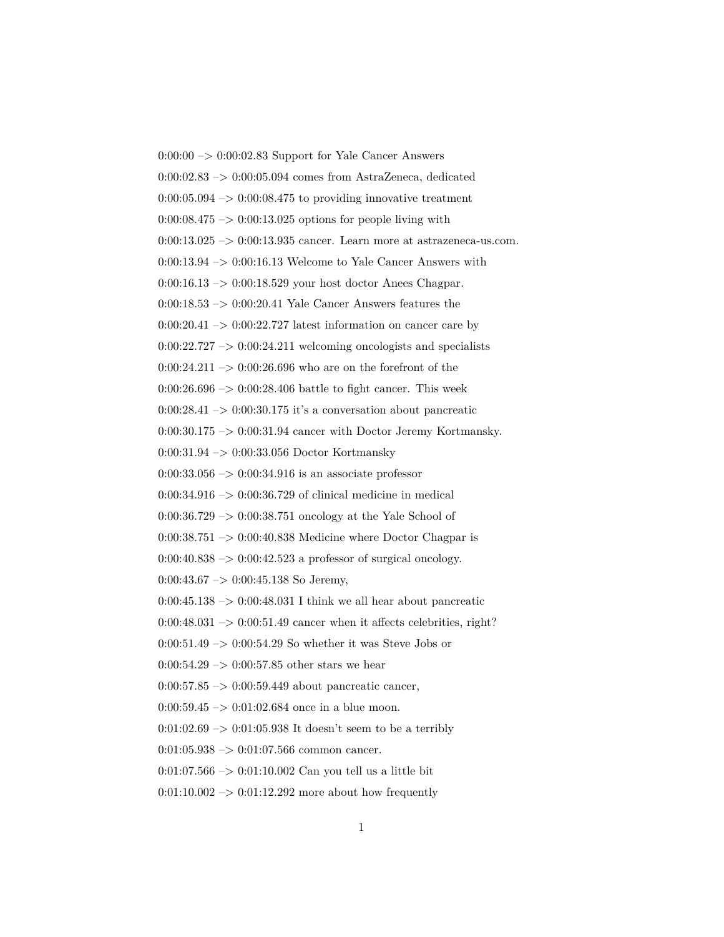$0:00:00 \rightarrow 0:00:02.83$  Support for Yale Cancer Answers 0:00:02.83 –> 0:00:05.094 comes from AstraZeneca, dedicated  $0:00:05.094 \rightarrow 0:00:08.475$  to providing innovative treatment  $0:00:08.475 \rightarrow 0:00:13.025$  options for people living with  $0:00:13.025 \rightarrow 0:00:13.935$  cancer. Learn more at astrazeneca-us.com.  $0:00:13.94 \rightarrow 0:00:16.13$  Welcome to Yale Cancer Answers with 0:00:16.13 –> 0:00:18.529 your host doctor Anees Chagpar.  $0:00:18.53 \rightarrow 0:00:20.41$  Yale Cancer Answers features the  $0:00:20.41 \rightarrow 0:00:22.727$  latest information on cancer care by  $0:00:22.727 \rightarrow 0:00:24.211$  welcoming oncologists and specialists  $0:00:24.211 \rightarrow 0:00:26.696$  who are on the forefront of the  $0:00:26.696 \rightarrow 0:00:28.406$  battle to fight cancer. This week  $0:00:28.41 \rightarrow 0:00:30.175$  it's a conversation about pancreatic  $0:00:30.175 \rightarrow 0:00:31.94$  cancer with Doctor Jeremy Kortmansky. 0:00:31.94 –> 0:00:33.056 Doctor Kortmansky 0:00:33.056 –> 0:00:34.916 is an associate professor 0:00:34.916  $\rightarrow$  0:00:36.729 of clinical medicine in medical 0:00:36.729 –> 0:00:38.751 oncology at the Yale School of  $0:00:38.751 \rightarrow 0:00:40.838$  Medicine where Doctor Chagpar is  $0:00:40.838 \rightarrow 0:00:42.523$  a professor of surgical oncology.  $0:00:43.67 \rightarrow 0:00:45.138$  So Jeremy,  $0:00:45.138 \rightarrow 0:00:48.031$  I think we all hear about pancreatic  $0:00:48.031 \rightarrow 0:00:51.49$  cancer when it affects celebrities, right? 0:00:51.49 –> 0:00:54.29 So whether it was Steve Jobs or  $0:00:54.29 \rightarrow 0:00:57.85$  other stars we hear  $0:00:57.85 \rightarrow 0:00:59.449$  about pancreatic cancer,  $0:00:59.45 \rightarrow 0:01:02.684$  once in a blue moon. 0:01:02.69  $\rightarrow$  0:01:05.938 It doesn't seem to be a terribly  $0:01:05.938 \rightarrow 0:01:07.566$  common cancer. 0:01:07.566  $\rightarrow$  0:01:10.002 Can you tell us a little bit  $0:01:10.002 \rightarrow 0:01:12.292$  more about how frequently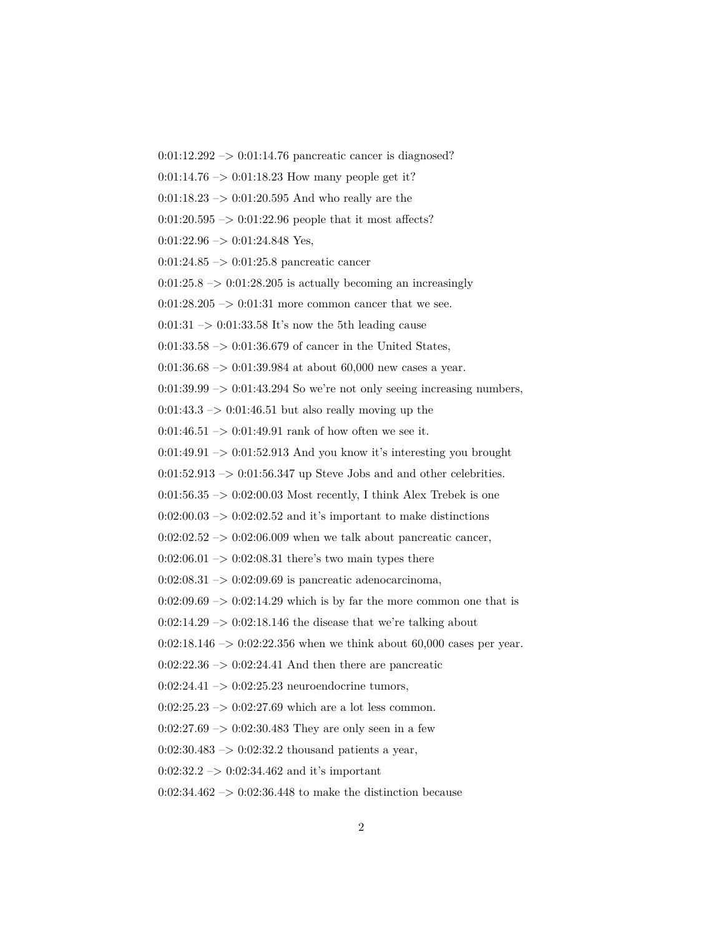0:01:12.292 –> 0:01:14.76 pancreatic cancer is diagnosed?

 $0:01:14.76 \rightarrow 0:01:18.23$  How many people get it?

 $0:01:18.23 \rightarrow 0:01:20.595$  And who really are the

 $0:01:20.595 \rightarrow 0:01:22.96$  people that it most affects?

 $0:01:22.96 \rightarrow 0:01:24.848$  Yes,

0:01:24.85 –> 0:01:25.8 pancreatic cancer

 $0:01:25.8 \rightarrow 0:01:28.205$  is actually becoming an increasingly

 $0:01:28.205 \rightarrow 0:01:31$  more common cancer that we see.

 $0:01:31 \rightarrow 0:01:33.58$  It's now the 5th leading cause

0:01:33.58  $\rightarrow$  0:01:36.679 of cancer in the United States,

 $0:01:36.68 \rightarrow 0:01:39.984$  at about 60,000 new cases a year.

 $0:01:39.99 \rightarrow 0:01:43.294$  So we're not only seeing increasing numbers,

 $0:01:43.3 \rightarrow 0:01:46.51$  but also really moving up the

 $0:01:46.51 \rightarrow 0:01:49.91$  rank of how often we see it.

 $0:01:49.91 \rightarrow 0:01:52.913$  And you know it's interesting you brought

 $0:01:52.913 \rightarrow 0:01:56.347$  up Steve Jobs and and other celebrities.

 $0:01:56.35 \rightarrow 0:02:00.03$  Most recently, I think Alex Trebek is one

 $0:02:00.03 \rightarrow 0:02:02.52$  and it's important to make distinctions

 $0:02:02.52 \rightarrow 0:02:06.009$  when we talk about pancreatic cancer,

 $0:02:06.01 \rightarrow 0:02:08.31$  there's two main types there

 $0:02:08.31 \rightarrow 0:02:09.69$  is pancreatic adenocarcinoma,

 $0:02:09.69 \rightarrow 0:02:14.29$  which is by far the more common one that is

 $0:02:14.29 \rightarrow 0:02:18.146$  the disease that we're talking about

0:02:18.146 –> 0:02:22.356 when we think about 60,000 cases per year.

 $0:02:22.36 \rightarrow 0:02:24.41$  And then there are pancreatic

0:02:24.41  $\rightarrow$  0:02:25.23 neuroendocrine tumors,

 $0:02:25.23 \rightarrow 0:02:27.69$  which are a lot less common.

 $0:02:27.69 \rightarrow 0:02:30.483$  They are only seen in a few

 $0:02:30.483 \rightarrow 0:02:32.2$  thousand patients a year,

 $0:02:32.2 \rightarrow 0:02:34.462$  and it's important

 $0:02:34.462 \rightarrow 0:02:36.448$  to make the distinction because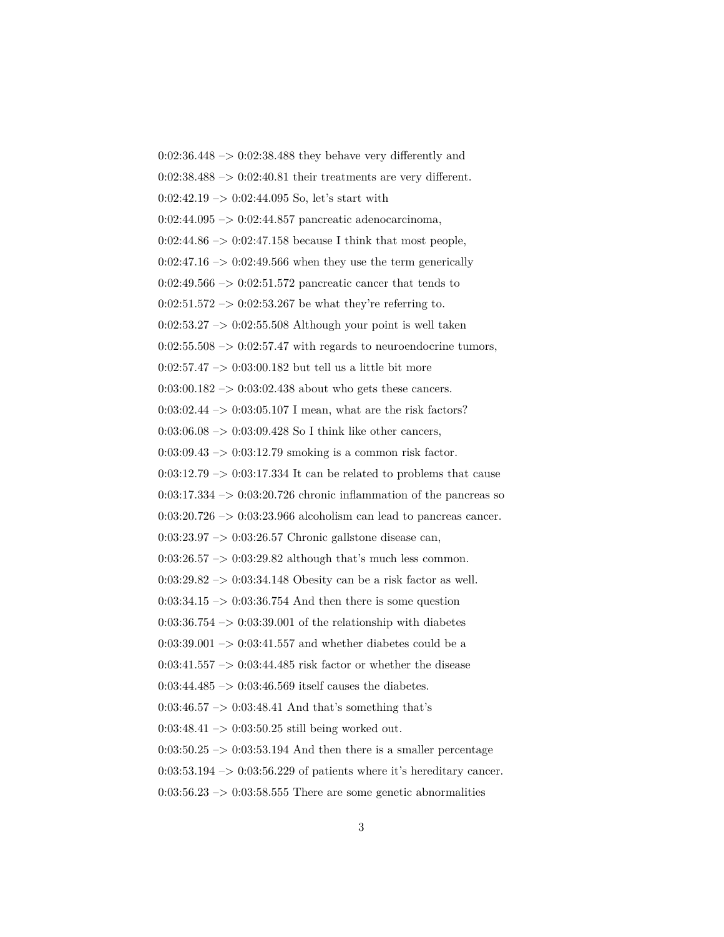0:02:36.448 –> 0:02:38.488 they behave very differently and  $0:02:38.488 \rightarrow 0:02:40.81$  their treatments are very different.  $0:02:42.19 \rightarrow 0:02:44.095$  So, let's start with 0:02:44.095 –> 0:02:44.857 pancreatic adenocarcinoma,  $0:02:44.86 \rightarrow 0:02:47.158$  because I think that most people,  $0:02:47.16 \rightarrow 0:02:49.566$  when they use the term generically  $0:02:49.566 \rightarrow 0:02:51.572$  pancreatic cancer that tends to  $0:02:51.572 \rightarrow 0:02:53.267$  be what they're referring to.  $0:02:53.27 \rightarrow 0:02:55.508$  Although your point is well taken  $0:02:55.508 \rightarrow 0:02:57.47$  with regards to neuroendocrine tumors,  $0:02:57.47 \rightarrow 0:03:00.182$  but tell us a little bit more  $0.03{\cdot}00.182$   $->$   $0{\cdot}03{\cdot}02.438$  about who gets these cancers. 0:03:02.44 –> 0:03:05.107 I mean, what are the risk factors?  $0:03:06.08 \rightarrow 0:03:09.428$  So I think like other cancers,  $0:03:09.43 \rightarrow 0:03:12.79$  smoking is a common risk factor.  $0:03:12.79 \rightarrow 0:03:17.334$  It can be related to problems that cause  $0:03:17.334 \rightarrow 0:03:20.726$  chronic inflammation of the pancreas so  $0:03:20.726 \rightarrow 0:03:23.966$  alcoholism can lead to pancreas cancer.  $0:03:23.97 \rightarrow 0:03:26.57$  Chronic gallstone disease can,  $0:03:26.57 \rightarrow 0:03:29.82$  although that's much less common. 0:03:29.82 –> 0:03:34.148 Obesity can be a risk factor as well.  $0:03:34.15 \rightarrow 0:03:36.754$  And then there is some question  $0:03:36.754 \rightarrow 0:03:39.001$  of the relationship with diabetes 0:03:39.001  $\rightarrow$  0:03:41.557 and whether diabetes could be a  $0:03:41.557 \rightarrow 0:03:44.485$  risk factor or whether the disease  $0:03:44.485 \rightarrow 0:03:46.569$  itself causes the diabetes.  $0:03:46.57 \rightarrow 0:03:48.41$  And that's something that's  $0:03:48.41 \rightarrow 0:03:50.25$  still being worked out.  $0:03:50.25 \rightarrow 0:03:53.194$  And then there is a smaller percentage  $0:03:53.194 \rightarrow 0:03:56.229$  of patients where it's hereditary cancer.  $0:03:56.23 \rightarrow 0:03:58.555$  There are some genetic abnormalities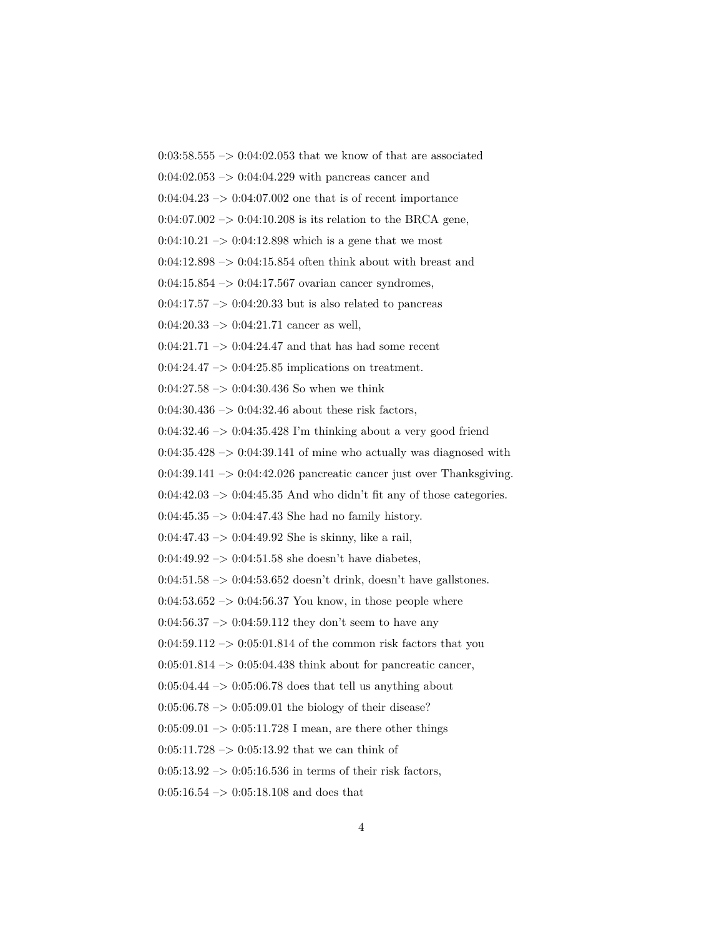0:03:58.555  $\rightarrow$  0:04:02.053 that we know of that are associated

 $0:04:02.053 \rightarrow 0:04:04.229$  with pancreas cancer and

 $0:04:04.23 \rightarrow 0:04:07.002$  one that is of recent importance

 $0:04:07.002 \rightarrow 0:04:10.208$  is its relation to the BRCA gene,

 $0:04:10.21 \rightarrow 0:04:12.898$  which is a gene that we most

 $0:04:12.898 \rightarrow 0:04:15.854$  often think about with breast and

 $0:04:15.854 \rightarrow 0:04:17.567$  ovarian cancer syndromes,

 $0:04:17.57 \rightarrow 0:04:20.33$  but is also related to pancreas

 $0:04:20.33 \rightarrow 0:04:21.71$  cancer as well,

 $0:04:21.71 \rightarrow 0:04:24.47$  and that has had some recent

 $0:04:24.47 \rightarrow 0:04:25.85$  implications on treatment.

 $0:04:27.58 \rightarrow 0:04:30.436$  So when we think

 $0:04:30.436 \rightarrow 0:04:32.46$  about these risk factors,

 $0:04:32.46 \rightarrow 0:04:35.428$  I'm thinking about a very good friend

 $0:04:35.428 \rightarrow 0:04:39.141$  of mine who actually was diagnosed with

 $0:04:39.141 \rightarrow 0:04:42.026$  pancreatic cancer just over Thanksgiving.

 $0:04:42.03 \rightarrow 0:04:45.35$  And who didn't fit any of those categories.

 $0:04:45.35 \rightarrow 0:04:47.43$  She had no family history.

0:04:47.43  $\rightarrow$  0:04:49.92 She is skinny, like a rail,

 $0.04:49.92 \rightarrow 0.04:51.58$  she doesn't have diabetes,

 $0:04:51.58 \rightarrow 0:04:53.652$  doesn't drink, doesn't have gallstones.

 $0:04:53.652 \rightarrow 0:04:56.37$  You know, in those people where

 $0:04:56.37 \rightarrow 0:04:59.112$  they don't seem to have any

 $0:04:59.112 \rightarrow 0:05:01.814$  of the common risk factors that you

 $0:05:01.814 \rightarrow 0:05:04.438$  think about for pancreatic cancer,

 $0:05:04.44 \rightarrow 0:05:06.78$  does that tell us anything about

 $0:05:06.78 \rightarrow 0:05:09.01$  the biology of their disease?

 $0:05:09.01 \rightarrow 0:05:11.728$  I mean, are there other things

 $0:05:11.728 \rightarrow 0:05:13.92$  that we can think of

 $0:05:13.92 \rightarrow 0:05:16.536$  in terms of their risk factors,

 $0:05:16.54 \rightarrow 0:05:18.108$  and does that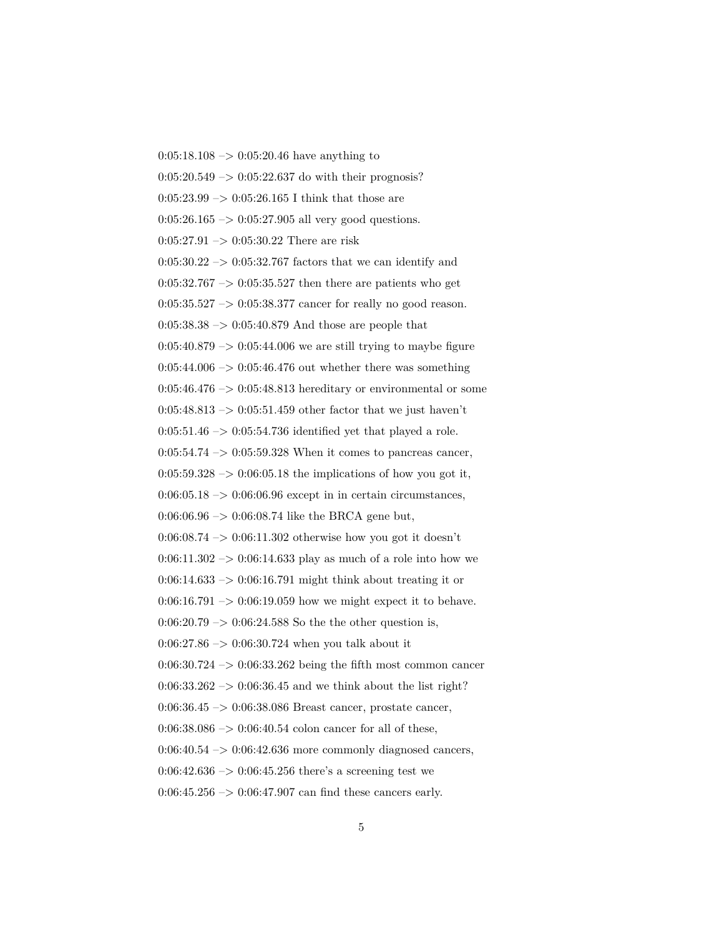$0:05:18.108 \rightarrow 0:05:20.46$  have anything to  $0:05:20.549 \rightarrow 0:05:22.637$  do with their prognosis? 0:05:23.99  $\rightarrow$  0:05:26.165 I think that those are  $0:05:26.165 \rightarrow 0:05:27.905$  all very good questions.  $0:05:27.91 \rightarrow 0:05:30.22$  There are risk  $0:05:30.22 \rightarrow 0:05:32.767$  factors that we can identify and  $0:05:32.767 \rightarrow 0:05:35.527$  then there are patients who get 0:05:35.527 –> 0:05:38.377 cancer for really no good reason.  $0:05:38.38 \rightarrow 0:05:40.879$  And those are people that  $0:05:40.879 \rightarrow 0:05:44.006$  we are still trying to maybe figure  $0:05:44.006 \rightarrow 0:05:46.476$  out whether there was something  $0:05:46.476 \rightarrow 0:05:48.813$  hereditary or environmental or some  $0:05:48.813 \rightarrow 0:05:51.459$  other factor that we just haven't  $0:05:51.46 \rightarrow 0:05:54.736$  identified yet that played a role.  $0:05:54.74 \rightarrow 0:05:59.328$  When it comes to pancreas cancer,  $0:05:59.328 \rightarrow 0:06:05.18$  the implications of how you got it,  $0:06:05.18 \rightarrow 0:06:06.96$  except in in certain circumstances,  $0.06:06.96 \rightarrow 0.06:08.74$  like the BRCA gene but,  $0.06:08.74 \rightarrow 0.06:11.302$  otherwise how you got it doesn't  $0:06:11.302 \rightarrow 0:06:14.633$  play as much of a role into how we  $0:06:14.633 \rightarrow 0:06:16.791$  might think about treating it or  $0:06:16.791 \rightarrow 0:06:19.059$  how we might expect it to behave.  $0:06:20.79 \rightarrow 0:06:24.588$  So the the other question is,  $0.06:27.86 \rightarrow 0.06:30.724$  when you talk about it  $0.06:30.724 \rightarrow 0.06:33.262$  being the fifth most common cancer  $0:06:33.262 \rightarrow 0:06:36.45$  and we think about the list right? 0:06:36.45 –> 0:06:38.086 Breast cancer, prostate cancer,  $0:06:38.086 \rightarrow 0:06:40.54$  colon cancer for all of these,  $0:06:40.54 \rightarrow 0:06:42.636$  more commonly diagnosed cancers,  $0.06:42.636 \rightarrow 0.06:45.256$  there's a screening test we  $0:06:45.256 \rightarrow 0:06:47.907$  can find these cancers early.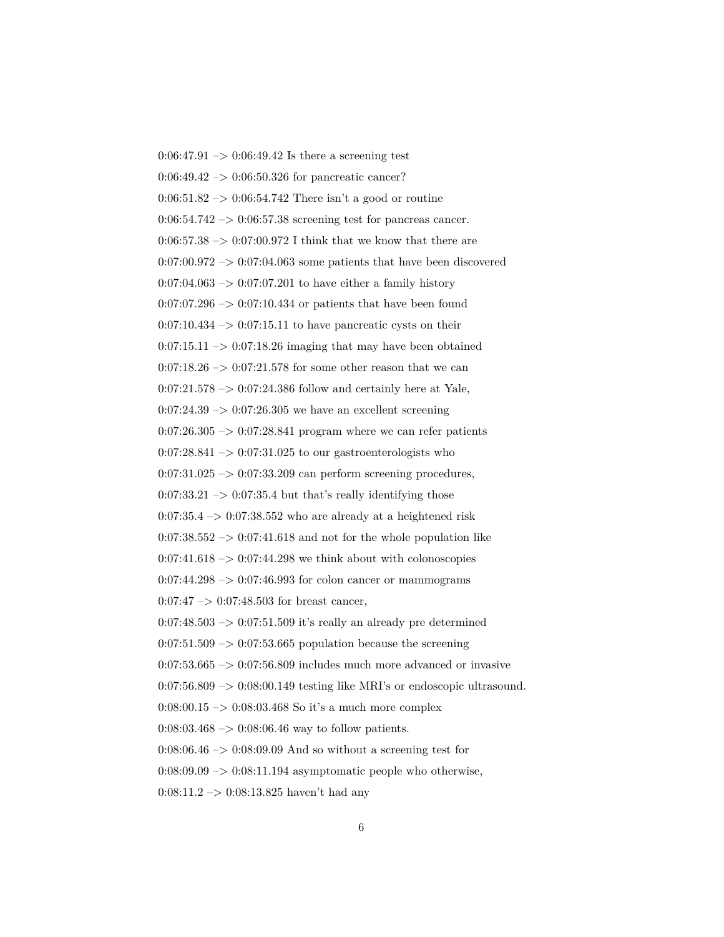$0:06:47.91 \rightarrow 0:06:49.42$  Is there a screening test 0:06:49.42 –> 0:06:50.326 for pancreatic cancer?  $0:06:51.82 \rightarrow 0:06:54.742$  There isn't a good or routine  $0.06:54.742 \rightarrow 0.06:57.38$  screening test for pancreas cancer.  $0.06:57.38 \rightarrow 0.07:00.972$  I think that we know that there are  $0:07:00.972 \rightarrow 0:07:04.063$  some patients that have been discovered  $0:07:04.063 \rightarrow 0:07:07.201$  to have either a family history  $0:07:07.296 \rightarrow 0:07:10.434$  or patients that have been found  $0:07:10.434 \rightarrow 0:07:15.11$  to have pancreatic cysts on their  $0:07:15.11 \rightarrow 0:07:18.26$  imaging that may have been obtained  $0:07:18.26 \rightarrow 0:07:21.578$  for some other reason that we can  $0:07:21.578 \rightarrow 0:07:24.386$  follow and certainly here at Yale,  $0:07:24.39 \rightarrow 0:07:26.305$  we have an excellent screening  $0.07:26.305 \rightarrow 0.07:28.841$  program where we can refer patients  $0:07:28.841 \rightarrow 0:07:31.025$  to our gastroenterologists who  $0:07:31.025 \rightarrow 0:07:33.209$  can perform screening procedures,  $0:07:33.21 \rightarrow 0:07:35.4$  but that's really identifying those  $0:07:35.4 \rightarrow 0:07:38.552$  who are already at a heightened risk  $0:07:38.552 \rightarrow 0:07:41.618$  and not for the whole population like  $0:07:41.618 \rightarrow 0:07:44.298$  we think about with colonoscopies  $0:07:44.298 \rightarrow 0:07:46.993$  for colon cancer or mammograms  $0:07:47 \rightarrow 0:07:48.503$  for breast cancer,  $0.07:48.503 \rightarrow 0.07:51.509$  it's really an already pre determined  $0.07:51.509 \rightarrow 0.07:53.665$  population because the screening  $0.07:53.665 \rightarrow 0.07:56.809$  includes much more advanced or invasive  $0:07:56.809 \rightarrow 0:08:00.149$  testing like MRI's or endoscopic ultrasound. 0:08:00.15  $\rightarrow$  0:08:03.468 So it's a much more complex  $0.08:03.468 \rightarrow 0.08:06.46$  way to follow patients.  $0.08:06.46 \rightarrow 0.08:09.09$  And so without a screening test for  $0.08:09.09 \rightarrow 0.08:11.194$  asymptomatic people who otherwise, 0:08:11.2 –> 0:08:13.825 haven't had any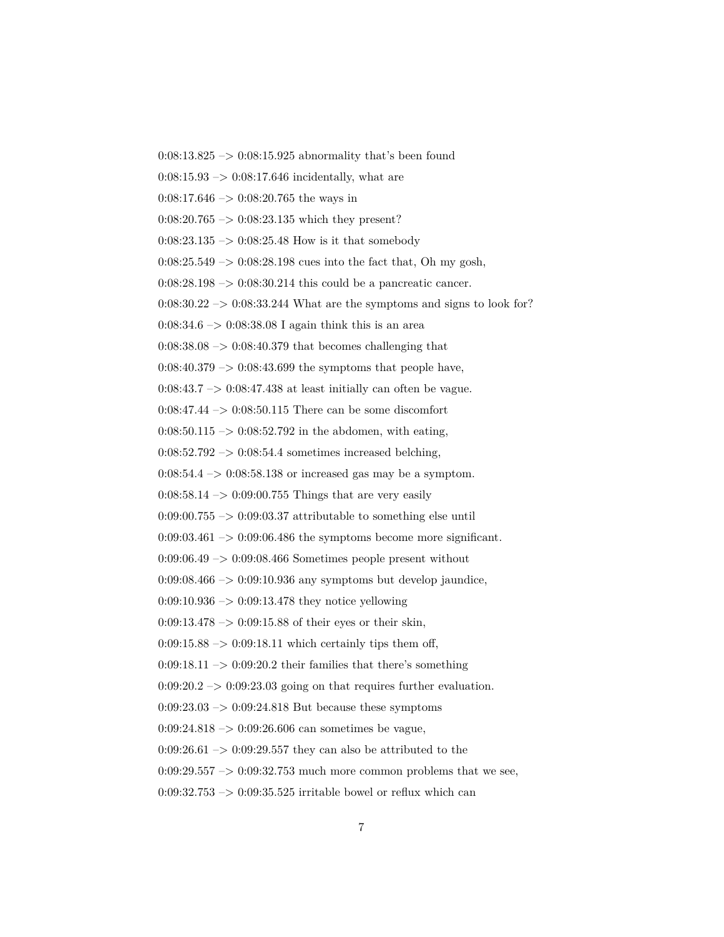0:08:13.825  $\rightarrow$  0:08:15.925 abnormality that's been found

 $0:08:15.93 \rightarrow 0:08:17.646$  incidentally, what are

 $0:08:17.646 \rightarrow 0:08:20.765$  the ways in

 $0:08:20.765 \rightarrow 0:08:23.135$  which they present?

 $0:08:23.135 \rightarrow 0:08:25.48$  How is it that somebody

 $0:08:25.549 \rightarrow 0:08:28.198$  cues into the fact that, Oh my gosh,

 $0:08:28.198 \rightarrow 0:08:30.214$  this could be a pancreatic cancer.

 $0:08:30.22 \rightarrow 0:08:33.244$  What are the symptoms and signs to look for?

 $0:08:34.6 \rightarrow 0:08:38.08$  I again think this is an area

 $0.08:38.08 \rightarrow 0.08:40.379$  that becomes challenging that

 $0:08:40.379 \rightarrow 0:08:43.699$  the symptoms that people have,

 $0:08:43.7 \rightarrow 0:08:47.438$  at least initially can often be vague.

0:08:47.44  $\rightarrow$  0:08:50.115 There can be some discomfort

 $0:08:50.115 \rightarrow 0:08:52.792$  in the abdomen, with eating,

 $0:08:52.792 \rightarrow 0:08:54.4$  sometimes increased belching,

 $0:08:54.4 \rightarrow 0:08:58.138$  or increased gas may be a symptom.

 $0:08:58.14 \rightarrow 0:09:00.755$  Things that are very easily

 $0:09:00.755 \rightarrow 0:09:03.37$  attributable to something else until

 $0:09:03.461 \rightarrow 0:09:06.486$  the symptoms become more significant.

0:09:06.49 –> 0:09:08.466 Sometimes people present without

 $0.09:08.466 \rightarrow 0.09:10.936$  any symptoms but develop jaundice,

 $0:09:10.936 \rightarrow 0:09:13.478$  they notice yellowing

 $0:09:13.478 \rightarrow 0:09:15.88$  of their eyes or their skin,

 $0:09:15.88 \rightarrow 0:09:18.11$  which certainly tips them off,

 $0:09:18.11 \rightarrow 0:09:20.2$  their families that there's something

 $0:09:20.2 \rightarrow 0:09:23.03$  going on that requires further evaluation.

 $0:09:23.03 \rightarrow 0:09:24.818$  But because these symptoms

 $0:09:24.818 \rightarrow 0:09:26.606$  can sometimes be vague,

 $0.09:26.61 \rightarrow 0.09:29.557$  they can also be attributed to the

 $0:09:29.557 \rightarrow 0:09:32.753$  much more common problems that we see,

 $0:09:32.753 \rightarrow 0:09:35.525$  irritable bowel or reflux which can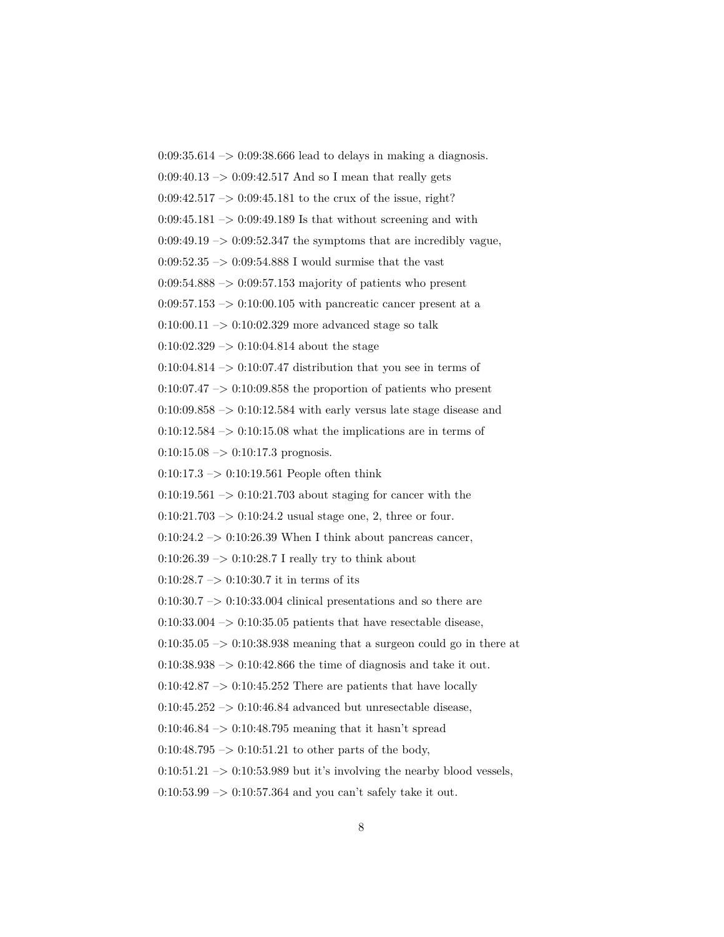$0:09:35.614 \rightarrow 0:09:38.666$  lead to delays in making a diagnosis.  $0:09:40.13 \rightarrow 0:09:42.517$  And so I mean that really gets  $0:09:42.517 \rightarrow 0:09:45.181$  to the crux of the issue, right?  $0:09:45.181 \rightarrow 0:09:49.189$  Is that without screening and with  $0:09:49.19 \rightarrow 0:09:52.347$  the symptoms that are incredibly vague, 0:09:52.35  $\rightarrow$  0:09:54.888 I would surmise that the vast  $0.09:54.888 \rightarrow 0.09:57.153$  majority of patients who present  $0.09:57.153 \rightarrow 0.10:00.105$  with pancreatic cancer present at a 0:10:00.11  $\rightarrow$  0:10:02.329 more advanced stage so talk  $0:10:02.329 \rightarrow 0:10:04.814$  about the stage  $0:10:04.814 \rightarrow 0:10:07.47$  distribution that you see in terms of  $0:10:07.47 \rightarrow 0:10:09.858$  the proportion of patients who present  $0:10:09.858 \rightarrow 0:10:12.584$  with early versus late stage disease and  $0:10:12.584 \rightarrow 0:10:15.08$  what the implications are in terms of  $0:10:15.08 \rightarrow 0:10:17.3$  prognosis.  $0:10:17.3 \rightarrow 0:10:19.561$  People often think  $0:10:19.561 \rightarrow 0:10:21.703$  about staging for cancer with the  $0:10:21.703 \rightarrow 0:10:24.2$  usual stage one, 2, three or four.  $0:10:24.2 \rightarrow 0:10:26.39$  When I think about pancreas cancer,  $0:10:26.39 \rightarrow 0:10:28.7$  I really try to think about 0:10:28.7  $\rightarrow$  0:10:30.7 it in terms of its  $0:10:30.7 \rightarrow 0:10:33.004$  clinical presentations and so there are  $0:10:33.004 \rightarrow 0:10:35.05$  patients that have resectable disease,  $0:10:35.05 \rightarrow 0:10:38.938$  meaning that a surgeon could go in there at  $0.10:38.938 \rightarrow 0.10:42.866$  the time of diagnosis and take it out.  $0:10:42.87 \rightarrow 0:10:45.252$  There are patients that have locally  $0:10:45.252 \rightarrow 0:10:46.84$  advanced but unresectable disease, 0:10:46.84  $\rightarrow$  0:10:48.795 meaning that it hasn't spread  $0:10:48.795 \rightarrow 0:10:51.21$  to other parts of the body,  $0:10:51.21 \rightarrow 0:10:53.989$  but it's involving the nearby blood vessels,  $0:10:53.99 \rightarrow 0:10:57.364$  and you can't safely take it out.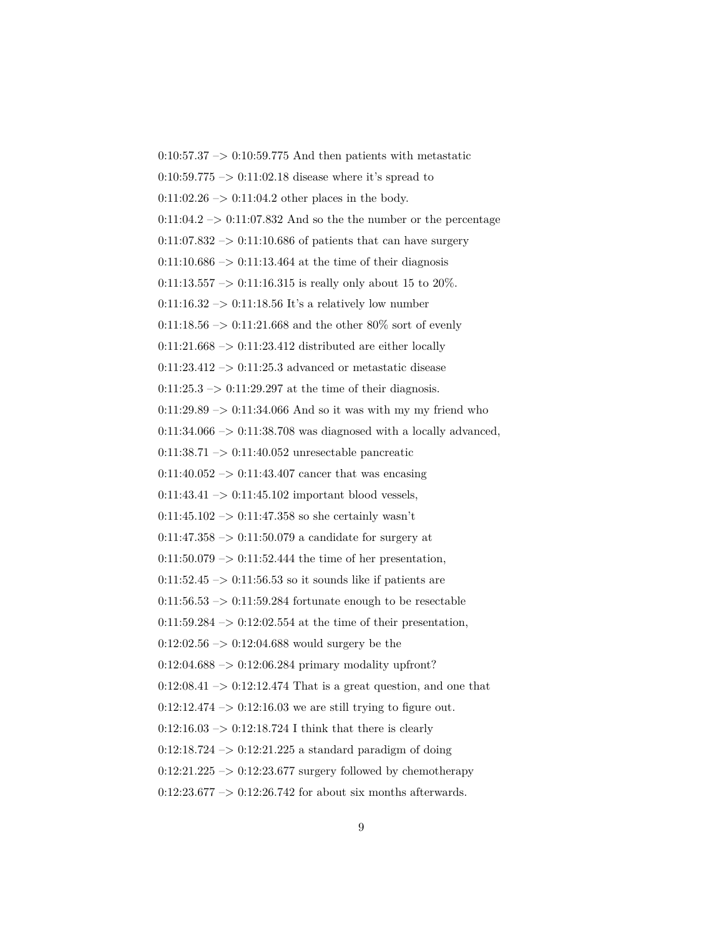$0:10:57.37 \rightarrow 0:10:59.775$  And then patients with metastatic  $0:10:59.775 \rightarrow 0:11:02.18$  disease where it's spread to  $0:11:02.26 \rightarrow 0:11:04.2$  other places in the body.  $0:11:04.2 \rightarrow 0:11:07.832$  And so the the number or the percentage  $0:11:07.832 \rightarrow 0:11:10.686$  of patients that can have surgery  $0:11:10.686 \rightarrow 0:11:13.464$  at the time of their diagnosis  $0:11:13.557 \rightarrow 0:11:16.315$  is really only about 15 to 20%. 0:11:16.32  $\rightarrow$  0:11:18.56 It's a relatively low number 0:11:18.56  $\rightarrow$  0:11:21.668 and the other 80% sort of evenly  $0:11:21.668 \rightarrow 0:11:23.412$  distributed are either locally  $0:11:23.412 \rightarrow 0:11:25.3$  advanced or metastatic disease  $0:11:25.3 \rightarrow 0:11:29.297$  at the time of their diagnosis.  $0:11:29.89 \rightarrow 0:11:34.066$  And so it was with my my friend who  $0:11:34.066 \rightarrow 0:11:38.708$  was diagnosed with a locally advanced, 0:11:38.71 –> 0:11:40.052 unresectable pancreatic  $0:11:40.052 \rightarrow 0:11:43.407$  cancer that was encasing  $0:11:43.41 \rightarrow 0:11:45.102$  important blood vessels,  $0:11:45.102 \rightarrow 0:11:47.358$  so she certainly wasn't  $0:11:47.358 \rightarrow 0:11:50.079$  a candidate for surgery at  $0:11:50.079 \rightarrow 0:11:52.444$  the time of her presentation,  $0:11:52.45 \rightarrow 0:11:56.53$  so it sounds like if patients are  $0:11:56.53 \rightarrow 0:11:59.284$  fortunate enough to be resectable  $0:11:59.284 \rightarrow 0:12:02.554$  at the time of their presentation,  $0:12:02.56 \rightarrow 0:12:04.688$  would surgery be the  $0:12:04.688 \rightarrow 0:12:06.284 \text{ primary modality upfront?}$  $0:12:08.41 \rightarrow 0:12:12.474$  That is a great question, and one that  $0:12:12.474 \rightarrow 0:12:16.03$  we are still trying to figure out.  $0:12:16.03 \rightarrow 0:12:18.724$  I think that there is clearly  $0:12:18.724 \rightarrow 0:12:21.225$  a standard paradigm of doing  $0:12:21.225 \rightarrow 0:12:23.677$  surgery followed by chemotherapy  $0:12:23.677 \rightarrow 0:12:26.742$  for about six months afterwards.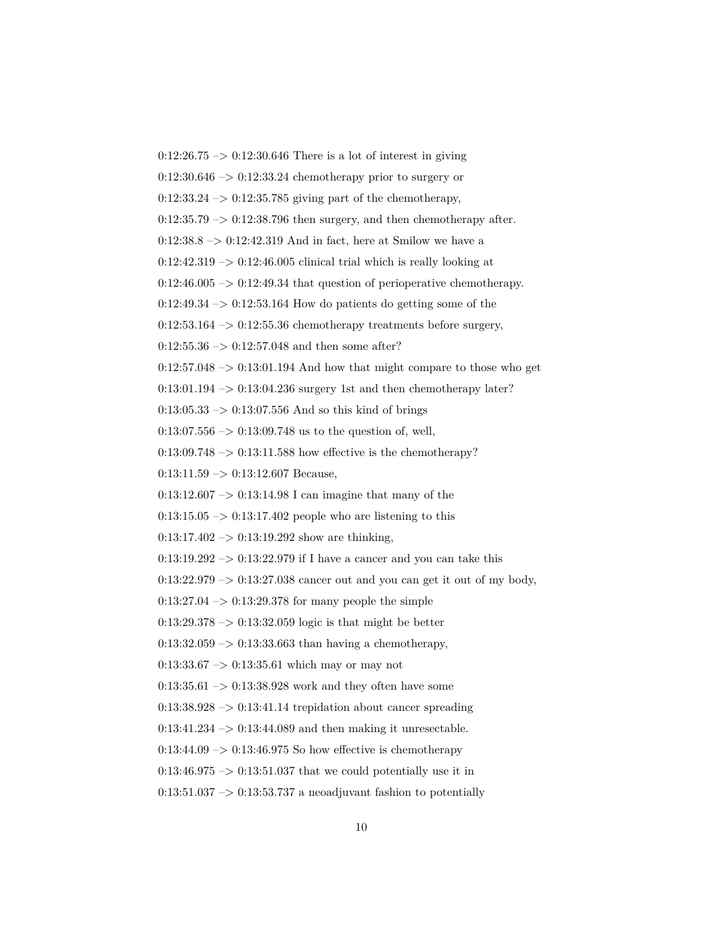$0:12:26.75 \rightarrow 0:12:30.646$  There is a lot of interest in giving  $0:12:30.646 \rightarrow 0:12:33.24$  chemotherapy prior to surgery or  $0:12:33.24 \rightarrow 0:12:35.785$  giving part of the chemotherapy,  $0:12:35.79 \rightarrow 0:12:38.796$  then surgery, and then chemotherapy after.  $0:12:38.8 \rightarrow 0:12:42.319$  And in fact, here at Smilow we have a  $0:12:42.319 \rightarrow 0:12:46.005$  clinical trial which is really looking at  $0:12:46.005 \rightarrow 0:12:49.34$  that question of perioperative chemotherapy.  $0:12:49.34 \rightarrow 0:12:53.164$  How do patients do getting some of the  $0:12:53.164 \rightarrow 0:12:55.36$  chemotherapy treatments before surgery,  $0:12:55.36 \rightarrow 0:12:57.048$  and then some after?  $0:12:57.048 \rightarrow 0:13:01.194$  And how that might compare to those who get 0:13:01.194 –> 0:13:04.236 surgery 1st and then chemotherapy later?  $0:13:05.33 \rightarrow 0:13:07.556$  And so this kind of brings  $0:13:07.556 \rightarrow 0:13:09.748$  us to the question of, well,  $0:13:09.748 \rightarrow 0:13:11.588$  how effective is the chemotherapy?  $0:13:11.59 \rightarrow 0:13:12.607$  Because, 0:13:12.607 –> 0:13:14.98 I can imagine that many of the  $0:13:15.05 \rightarrow 0:13:17.402$  people who are listening to this  $0:13:17.402 \rightarrow 0:13:19.292$  show are thinking,  $0:13:19.292 \rightarrow 0:13:22.979$  if I have a cancer and you can take this  $0:13:22.979 \rightarrow 0:13:27.038$  cancer out and you can get it out of my body,  $0:13:27.04 \rightarrow 0:13:29.378$  for many people the simple  $0:13:29.378 \rightarrow 0:13:32.059$  logic is that might be better  $0:13:32.059 \rightarrow 0:13:33.663$  than having a chemotherapy,  $0:13:33.67 \rightarrow 0:13:35.61$  which may or may not  $0:13:35.61 \rightarrow 0:13:38.928$  work and they often have some  $0:13:38.928 \rightarrow 0:13:41.14$  trepidation about cancer spreading  $0:13:41.234 \rightarrow 0:13:44.089$  and then making it unresectable.  $0.13:44.09 \rightarrow 0.13:46.975$  So how effective is chemotherapy  $0:13:46.975 \rightarrow 0:13:51.037$  that we could potentially use it in  $0:13:51.037 \rightarrow 0:13:53.737$  a neoadjuvant fashion to potentially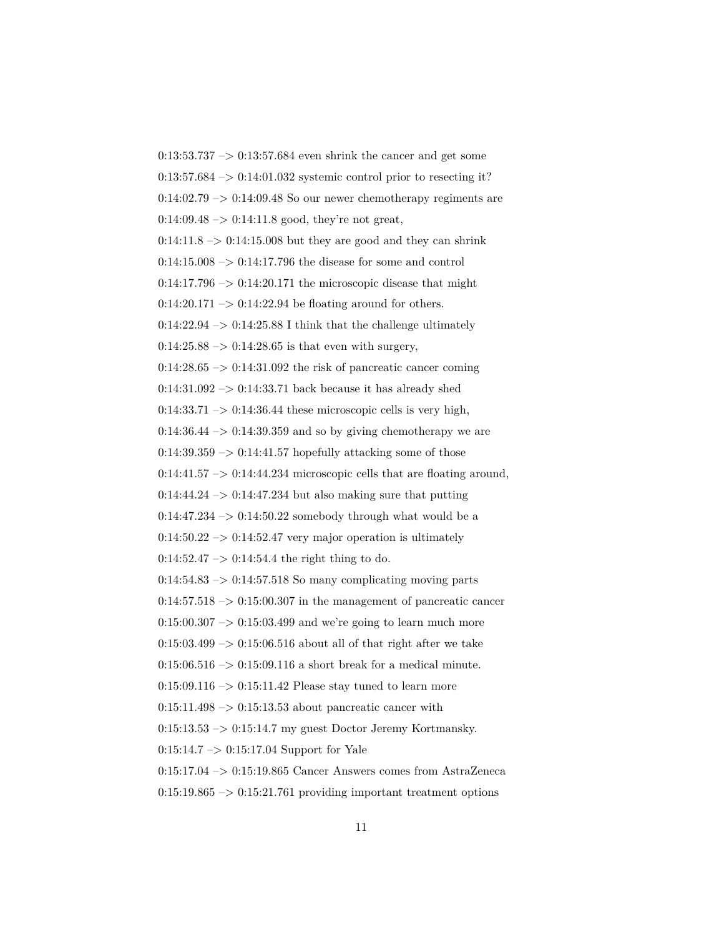$0:13:53.737 \rightarrow 0:13:57.684$  even shrink the cancer and get some  $0:13:57.684 \rightarrow 0:14:01.032$  systemic control prior to resecting it?  $0:14:02.79 \rightarrow 0:14:09.48$  So our newer chemotherapy regiments are  $0:14:09.48 \rightarrow 0:14:11.8$  good, they're not great,  $0:14:11.8 \rightarrow 0:14:15.008$  but they are good and they can shrink  $0:14:15.008 \rightarrow 0:14:17.796$  the disease for some and control  $0:14:17.796 \rightarrow 0:14:20.171$  the microscopic disease that might  $0:14:20.171 \rightarrow 0:14:22.94$  be floating around for others.  $0:14:22.94 \rightarrow 0:14:25.88$  I think that the challenge ultimately  $0:14:25.88 \rightarrow 0:14:28.65$  is that even with surgery,  $0:14:28.65 \rightarrow 0:14:31.092$  the risk of pancreatic cancer coming  $0:14:31.092 \rightarrow 0:14:33.71$  back because it has already shed  $0:14:33.71 \rightarrow 0:14:36.44$  these microscopic cells is very high,  $0:14:36.44 \rightarrow 0:14:39.359$  and so by giving chemotherapy we are  $0:14:39.359 \rightarrow 0:14:41.57$  hopefully attacking some of those  $0:14:41.57 \rightarrow 0:14:44.234$  microscopic cells that are floating around,  $0:14:44.24 \rightarrow 0:14:47.234$  but also making sure that putting  $0:14:47.234 \rightarrow 0:14:50.22$  somebody through what would be a  $0.14:50.22 \rightarrow 0.14:52.47$  very major operation is ultimately  $0:14:52.47 \rightarrow 0:14:54.4$  the right thing to do.  $0:14:54.83 \rightarrow 0:14:57.518$  So many complicating moving parts  $0:14:57.518 \rightarrow 0:15:00.307$  in the management of pancreatic cancer  $0:15:00.307 \rightarrow 0:15:03.499$  and we're going to learn much more  $0:15:03.499 \rightarrow 0:15:06.516$  about all of that right after we take  $0:15:06.516 \rightarrow 0:15:09.116$  a short break for a medical minute.  $0:15:09.116 \rightarrow 0:15:11.42$  Please stay tuned to learn more  $0:15:11.498 \rightarrow 0:15:13.53$  about pancreatic cancer with  $0:15:13.53 \rightarrow 0:15:14.7$  my guest Doctor Jeremy Kortmansky. 0:15:14.7 –> 0:15:17.04 Support for Yale 0:15:17.04 –> 0:15:19.865 Cancer Answers comes from AstraZeneca  $0:15:19.865 \rightarrow 0:15:21.761$  providing important treatment options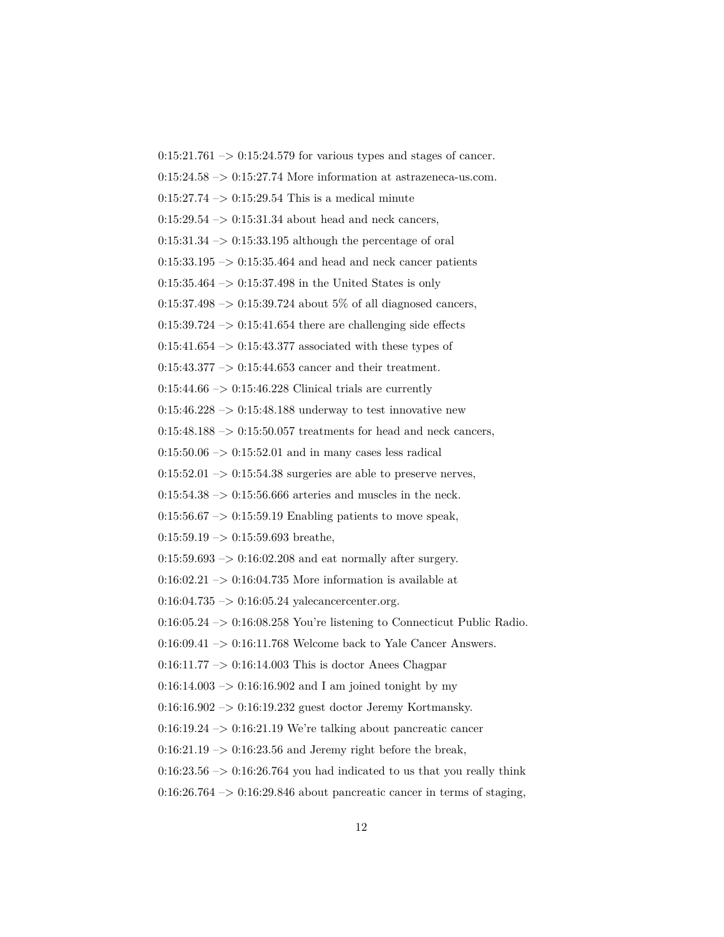$0:15:21.761 \rightarrow 0:15:24.579$  for various types and stages of cancer.  $0:15:24.58 \rightarrow 0:15:27.74$  More information at astrazeneca-us.com.  $0:15:27.74 \rightarrow 0:15:29.54$  This is a medical minute  $0:15:29.54 \rightarrow 0:15:31.34$  about head and neck cancers,  $0:15:31.34 \rightarrow 0:15:33.195$  although the percentage of oral  $0:15:33.195 \rightarrow 0:15:35.464$  and head and neck cancer patients  $0:15:35.464 \rightarrow 0:15:37.498$  in the United States is only  $0:15:37.498 \rightarrow 0:15:39.724$  about 5\% of all diagnosed cancers,  $0:15:39.724 \rightarrow 0:15:41.654$  there are challenging side effects  $0:15:41.654 \rightarrow 0:15:43.377$  associated with these types of  $0:15:43.377 \rightarrow 0:15:44.653$  cancer and their treatment.  $0:15:44.66 \rightarrow 0:15:46.228$  Clinical trials are currently 0:15:46.228  $\rightarrow$  0:15:48.188 underway to test innovative new  $0:15:48.188 \rightarrow 0:15:50.057$  treatments for head and neck cancers,  $0:15:50.06 \rightarrow 0:15:52.01$  and in many cases less radical  $0:15:52.01 \rightarrow 0:15:54.38$  surgeries are able to preserve nerves,  $0:15:54.38 \rightarrow 0:15:56.666$  arteries and muscles in the neck.  $0:15:56.67 \rightarrow 0:15:59.19$  Enabling patients to move speak,  $0:15:59.19 \rightarrow 0:15:59.693$  breathe,  $0:15:59.693 \rightarrow 0:16:02.208$  and eat normally after surgery.  $0:16:02.21 \rightarrow 0:16:04.735$  More information is available at  $0:16:04.735 \rightarrow 0:16:05.24$  yalecancercenter.org.  $0:16:05.24 \rightarrow 0:16:08.258$  You're listening to Connecticut Public Radio. 0:16:09.41 -> 0:16:11.768 Welcome back to Yale Cancer Answers.  $0:16:11.77 \rightarrow 0:16:14.003$  This is doctor Anees Chagpar  $0:16:14.003 \rightarrow 0:16:16.902$  and I am joined tonight by my 0:16:16.902 –> 0:16:19.232 guest doctor Jeremy Kortmansky.  $0:16:19.24 \rightarrow 0:16:21.19$  We're talking about pancreatic cancer  $0:16:21.19 \rightarrow 0:16:23.56$  and Jeremy right before the break,  $0:16:23.56 \rightarrow 0:16:26.764$  you had indicated to us that you really think  $0:16:26.764 \rightarrow 0:16:29.846$  about pancreatic cancer in terms of staging,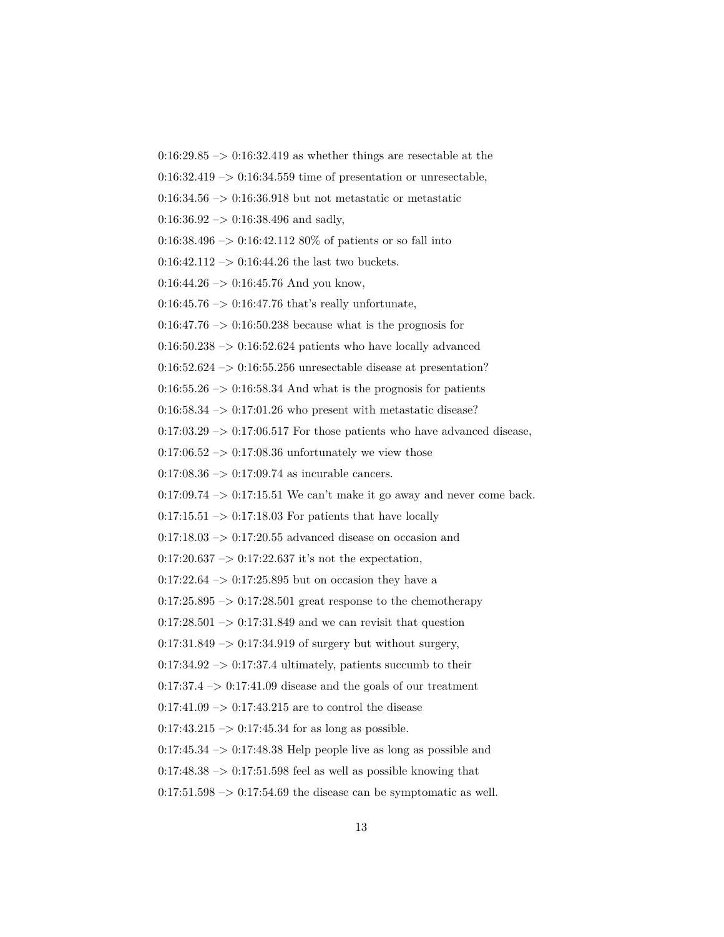$0:16:29.85 \rightarrow 0:16:32.419$  as whether things are resectable at the

 $0.16:32.419 \rightarrow 0.16:34.559$  time of presentation or unresectable,

 $0.16:34.56 \rightarrow 0.16:36.918$  but not metastatic or metastatic

 $0:16:36.92 \rightarrow 0:16:38.496$  and sadly,

 $0.16:38.496 \rightarrow 0.16:42.112 80\%$  of patients or so fall into

 $0:16:42.112 \rightarrow 0:16:44.26$  the last two buckets.

 $0:16:44.26 \rightarrow 0:16:45.76$  And you know,

 $0:16:45.76 \rightarrow 0:16:47.76$  that's really unfortunate,

 $0:16:47.76 \rightarrow 0:16:50.238$  because what is the prognosis for

 $0.16:50.238 \rightarrow 0.16:52.624$  patients who have locally advanced

 $0.16:52.624 \rightarrow 0.16:55.256$  unresectable disease at presentation?

 $0:16:55.26 \rightarrow 0:16:58.34$  And what is the prognosis for patients

 $0:16:58.34 \rightarrow 0:17:01.26$  who present with metastatic disease?

 $0:17:03.29 \rightarrow 0:17:06.517$  For those patients who have advanced disease,

 $0.17:06.52 \rightarrow 0.17:08.36$  unfortunately we view those

 $0:17:08.36 \rightarrow 0:17:09.74$  as incurable cancers.

 $0:17:09.74 \rightarrow 0:17:15.51$  We can't make it go away and never come back.

 $0:17:15.51 \rightarrow 0:17:18.03$  For patients that have locally

 $0.17:18.03 \rightarrow 0.17:20.55$  advanced disease on occasion and

 $0:17:20.637 \rightarrow 0:17:22.637$  it's not the expectation,

 $0:17:22.64 \rightarrow 0:17:25.895$  but on occasion they have a

 $0:17:25.895 \rightarrow 0:17:28.501$  great response to the chemotherapy

 $0:17:28.501 \rightarrow 0:17:31.849$  and we can revisit that question

 $0:17:31.849 \rightarrow 0:17:34.919$  of surgery but without surgery,

 $0:17:34.92 \rightarrow 0:17:37.4$  ultimately, patients succumb to their

 $0:17:37.4 \rightarrow 0:17:41.09$  disease and the goals of our treatment

 $0:17:41.09 \rightarrow 0:17:43.215$  are to control the disease

 $0:17:43.215 \rightarrow 0:17:45.34$  for as long as possible.

 $0:17:45.34 \rightarrow 0:17:48.38$  Help people live as long as possible and

 $0.17:48.38 \rightarrow 0.17:51.598$  feel as well as possible knowing that

 $0:17:51.598 \rightarrow 0:17:54.69$  the disease can be symptomatic as well.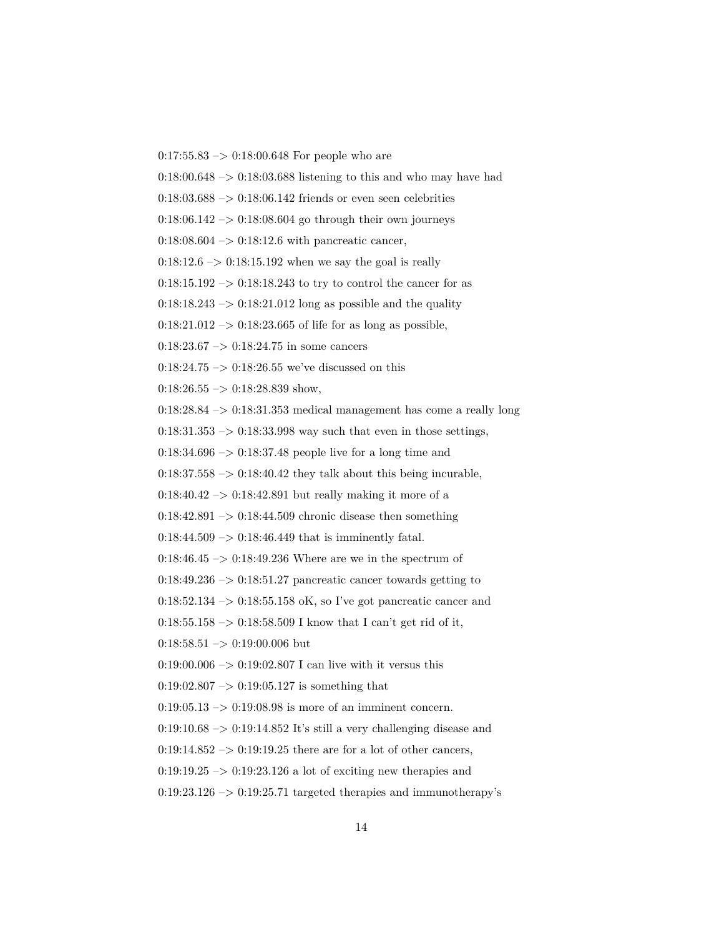$0:17:55.83 \rightarrow 0:18:00.648$  For people who are

 $0:18:00.648 \rightarrow 0:18:03.688$  listening to this and who may have had

 $0.18:03.688 \rightarrow 0.18:06.142$  friends or even seen celebrities

 $0.18:06.142 \rightarrow 0.18:08.604$  go through their own journeys

 $0:18:08.604 \rightarrow 0:18:12.6$  with pancreatic cancer,

 $0:18:12.6 \rightarrow 0:18:15.192$  when we say the goal is really

 $0:18:15.192 \rightarrow 0:18:18.243$  to try to control the cancer for as

 $0:18:18.243 \rightarrow 0:18:21.012$  long as possible and the quality

 $0:18:21.012 \rightarrow 0:18:23.665$  of life for as long as possible,

 $0:18:23.67 \rightarrow 0:18:24.75$  in some cancers

 $0:18:24.75 \rightarrow 0:18:26.55$  we've discussed on this

 $0:18:26.55 \rightarrow 0:18:28.839$  show,

0:18:28.84 –> 0:18:31.353 medical management has come a really long

 $0:18:31.353 \rightarrow 0:18:33.998$  way such that even in those settings,

 $0:18:34.696 \rightarrow 0:18:37.48$  people live for a long time and

 $0:18:37.558 \rightarrow 0:18:40.42$  they talk about this being incurable,

 $0:18:40.42 \rightarrow 0:18:42.891$  but really making it more of a

 $0:18:42.891 \rightarrow 0:18:44.509$  chronic disease then something

 $0:18:44.509 \rightarrow 0:18:46.449$  that is imminently fatal.

 $0:18:46.45 \rightarrow 0:18:49.236$  Where are we in the spectrum of

 $0:18:49.236 \rightarrow 0:18:51.27$  pancreatic cancer towards getting to

 $0:18:52.134 \rightarrow 0:18:55.158$  oK, so I've got pancreatic cancer and

 $0:18:55.158 \rightarrow 0:18:58.509$  I know that I can't get rid of it,

 $0:18:58.51 \rightarrow 0:19:00.006$  but

 $0.19:00.006 \rightarrow 0.19:02.807$  I can live with it versus this

 $0:19:02.807 \rightarrow 0:19:05.127$  is something that

 $0:19:05.13 \rightarrow 0:19:08.98$  is more of an imminent concern.

 $0:19:10.68 \rightarrow 0:19:14.852$  It's still a very challenging disease and

 $0:19:14.852 \rightarrow 0:19:19.25$  there are for a lot of other cancers,

 $0.19:19.25 \rightarrow 0.19:23.126$  a lot of exciting new therapies and

 $0:19:23.126 \rightarrow 0:19:25.71$  targeted therapies and immunotherapy's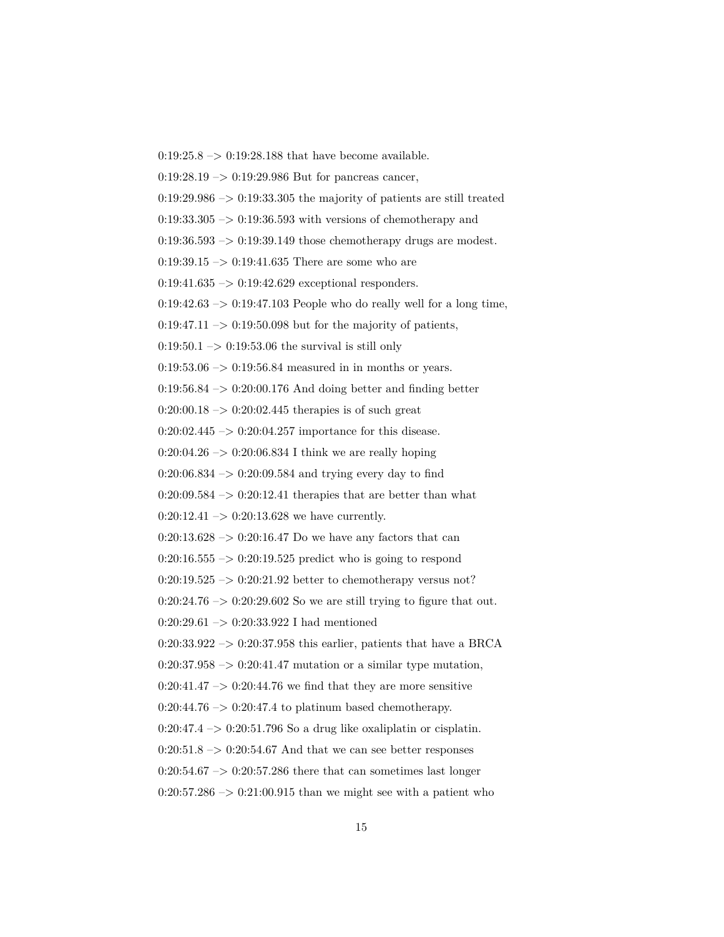$0:19:25.8 \rightarrow 0:19:28.188$  that have become available.  $0:19:28.19 \rightarrow 0:19:29.986$  But for pancreas cancer,  $0:19:29.986 \rightarrow 0:19:33.305$  the majority of patients are still treated  $0:19:33.305 \rightarrow 0:19:36.593$  with versions of chemotherapy and  $0:19:36.593 \rightarrow 0:19:39.149$  those chemotherapy drugs are modest. 0:19:39.15  $\rightarrow$  0:19:41.635 There are some who are  $0:19:41.635 \rightarrow 0:19:42.629$  exceptional responders.  $0:19:42.63 \rightarrow 0:19:47.103$  People who do really well for a long time,  $0:19:47.11 \rightarrow 0:19:50.098$  but for the majority of patients,  $0:19:50.1 \rightarrow 0:19:53.06$  the survival is still only  $0.19:53.06 \rightarrow 0.19:56.84$  measured in in months or years. 0:19:56.84 –> 0:20:00.176 And doing better and finding better  $0:20:00.18 \rightarrow 0:20:02.445$  therapies is of such great  $0:20:02.445 \rightarrow 0:20:04.257$  importance for this disease.  $0:20:04.26 \rightarrow 0:20:06.834$  I think we are really hoping  $0:20:06.834 \rightarrow 0:20:09.584$  and trying every day to find  $0:20:09.584 \rightarrow 0:20:12.41$  therapies that are better than what  $0:20:12.41 \rightarrow 0:20:13.628$  we have currently.  $0:20:13.628 \rightarrow 0:20:16.47$  Do we have any factors that can  $0:20:16.555 \rightarrow 0:20:19.525$  predict who is going to respond  $0:20:19.525 \rightarrow 0:20:21.92$  better to chemotherapy versus not?  $0:20:24.76 \rightarrow 0:20:29.602$  So we are still trying to figure that out. 0:20:29.61 –> 0:20:33.922 I had mentioned  $0:20:33.922 \rightarrow 0:20:37.958$  this earlier, patients that have a BRCA  $0:20:37.958 \rightarrow 0:20:41.47$  mutation or a similar type mutation,  $0:20:41.47 \rightarrow 0:20:44.76$  we find that they are more sensitive  $0:20:44.76 \rightarrow 0:20:47.4$  to platinum based chemotherapy.  $0:20:47.4 \rightarrow 0:20:51.796$  So a drug like oxaliplatin or cisplatin.  $0:20:51.8 \rightarrow 0:20:54.67$  And that we can see better responses  $0:20:54.67 \rightarrow 0:20:57.286$  there that can sometimes last longer  $0:20:57.286 \rightarrow 0:21:00.915$  than we might see with a patient who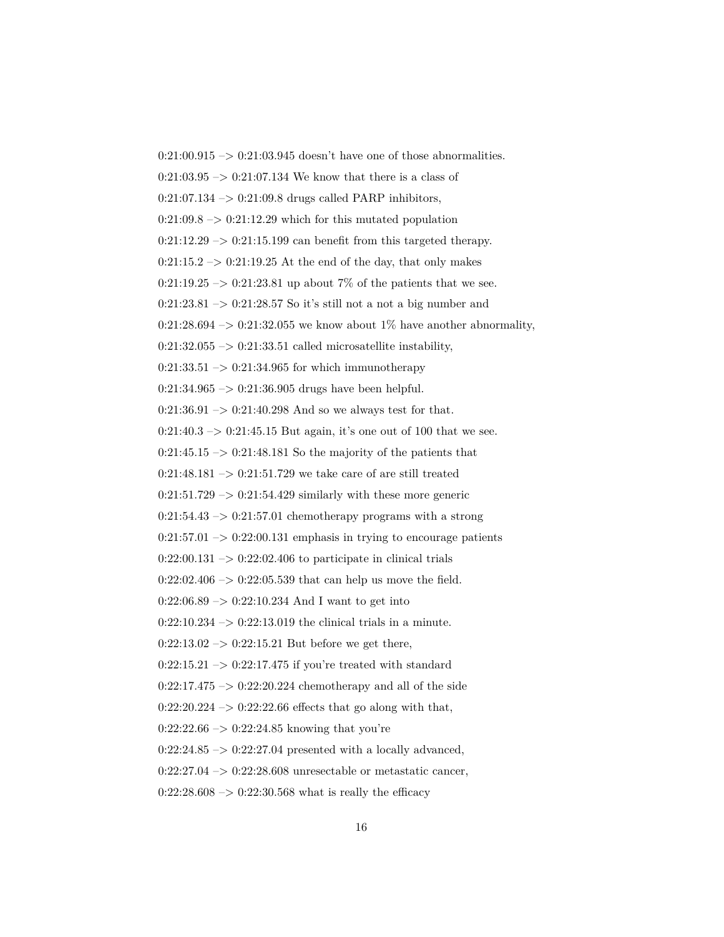$0:21:00.915 \rightarrow 0:21:03.945$  doesn't have one of those abnormalities.  $0:21:03.95 \rightarrow 0:21:07.134$  We know that there is a class of  $0:21:07.134 \rightarrow 0:21:09.8$  drugs called PARP inhibitors,  $0:21:09.8 \rightarrow 0:21:12.29$  which for this mutated population  $0:21:12.29 \rightarrow 0:21:15.199$  can benefit from this targeted therapy.  $0:21:15.2 \rightarrow 0:21:19.25$  At the end of the day, that only makes 0:21:19.25  $\rightarrow$  0:21:23.81 up about 7% of the patients that we see.  $0:21:23.81 \rightarrow 0:21:28.57$  So it's still not a not a big number and  $0:21:28.694 \rightarrow 0:21:32.055$  we know about 1% have another abnormality,  $0:21:32.055 \rightarrow 0:21:33.51$  called microsatellite instability,  $0:21:33.51 \rightarrow 0:21:34.965$  for which immunotherapy  $0:21:34.965 \rightarrow 0:21:36.905$  drugs have been helpful.  $0:21:36.91 \rightarrow 0:21:40.298$  And so we always test for that.  $0:21:40.3 \rightarrow 0:21:45.15$  But again, it's one out of 100 that we see.  $0:21:45.15 \rightarrow 0:21:48.181$  So the majority of the patients that  $0:21:48.181 \rightarrow 0:21:51.729$  we take care of are still treated  $0:21:51.729 \rightarrow 0:21:54.429$  similarly with these more generic 0:21:54.43  $->$  0:21:57.01 chemotherapy programs with a strong  $0:21:57.01 \rightarrow 0:22:00.131$  emphasis in trying to encourage patients  $0:22:00.131 \rightarrow 0:22:02.406$  to participate in clinical trials  $0:22:02.406 \rightarrow 0:22:05.539$  that can help us move the field.  $0:22:06.89 \rightarrow 0:22:10.234$  And I want to get into  $0:22:10.234 \rightarrow 0:22:13.019$  the clinical trials in a minute.  $0:22:13.02 \rightarrow 0:22:15.21$  But before we get there,  $0:22:15.21 \rightarrow 0:22:17.475$  if you're treated with standard  $0:22:17.475 \rightarrow 0:22:20.224$  chemotherapy and all of the side  $0:22:20.224 \rightarrow 0:22:22.66$  effects that go along with that,  $0:22:22.66 \rightarrow 0:22:24.85$  knowing that you're  $0:22:24.85 \rightarrow 0:22:27.04$  presented with a locally advanced,  $0:22:27.04 \rightarrow 0:22:28.608$  unresectable or metastatic cancer,  $0:22:28.608 \rightarrow 0:22:30.568$  what is really the efficacy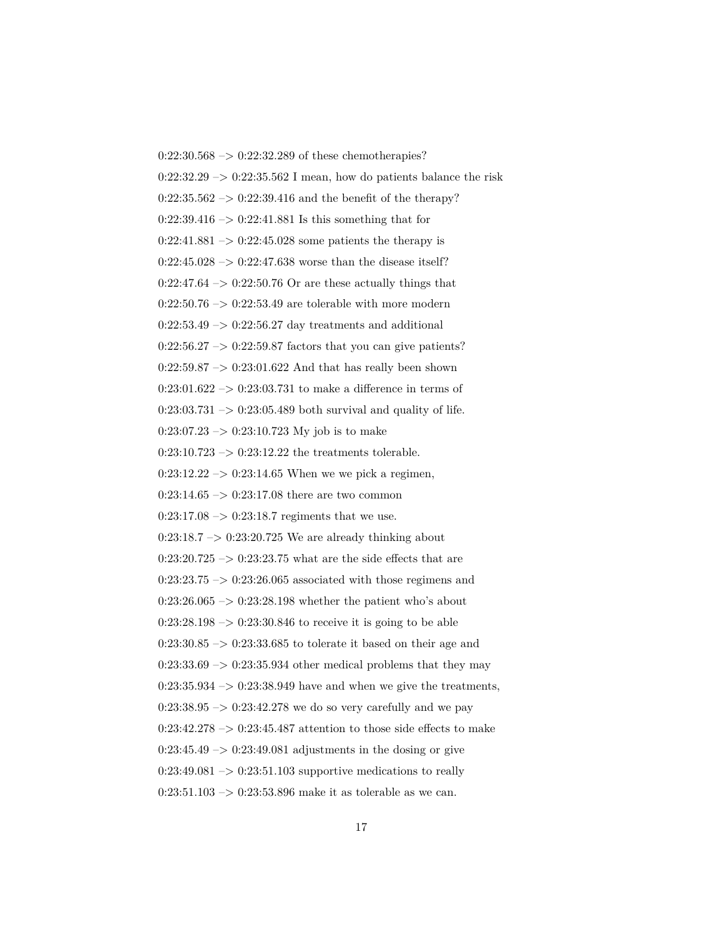$0:22:30.568 \rightarrow 0:22:32.289$  of these chemotherapies?  $0:22:32.29 \rightarrow 0:22:35.562$  I mean, how do patients balance the risk  $0:22:35.562 \rightarrow 0:22:39.416$  and the benefit of the therapy?  $0:22:39.416 \rightarrow 0:22:41.881$  Is this something that for  $0:22:41.881 \rightarrow 0:22:45.028$  some patients the therapy is  $0:22:45.028 \rightarrow 0:22:47.638$  worse than the disease itself?  $0:22:47.64 \rightarrow 0:22:50.76$  Or are these actually things that  $0:22:50.76 \rightarrow 0:22:53.49$  are tolerable with more modern  $0:22:53.49 \rightarrow 0:22:56.27$  day treatments and additional  $0:22:56.27 \rightarrow 0:22:59.87$  factors that you can give patients?  $0:22:59.87 \rightarrow 0:23:01.622$  And that has really been shown  $0:23:01.622\ensuremath{\:\rightarrow\:}0:23:03.731$  to make a difference in terms of  $0:23:03.731 \rightarrow 0:23:05.489$  both survival and quality of life.  $0:23:07.23 \rightarrow 0:23:10.723$  My job is to make  $0:23:10.723 \rightarrow 0:23:12.22$  the treatments tolerable.  $0:23:12.22 \rightarrow 0:23:14.65$  When we we pick a regimen,  $0:23:14.65 \rightarrow 0:23:17.08$  there are two common  $0:23:17.08 \rightarrow 0:23:18.7$  regiments that we use.  $0:23:18.7 \rightarrow 0:23:20.725$  We are already thinking about  $0:23:20.725 \rightarrow 0:23:23.75$  what are the side effects that are  $0:23:23.75 \rightarrow 0:23:26.065$  associated with those regimens and  $0:23:26.065 \rightarrow 0:23:28.198$  whether the patient who's about  $0:23:28.198 \rightarrow 0:23:30.846$  to receive it is going to be able  $0:23:30.85 \rightarrow 0:23:33.685$  to tolerate it based on their age and  $0:23:33.69 \rightarrow 0:23:35.934$  other medical problems that they may  $0:23:35.934 \rightarrow 0:23:38.949$  have and when we give the treatments,  $0:23:38.95 \rightarrow 0:23:42.278$  we do so very carefully and we pay  $0:23:42.278 \rightarrow 0:23:45.487$  attention to those side effects to make  $0:23:45.49 \rightarrow 0:23:49.081$  adjustments in the dosing or give  $0:23:49.081 \rightarrow 0:23:51.103$  supportive medications to really  $0:23:51.103 \rightarrow 0:23:53.896$  make it as tolerable as we can.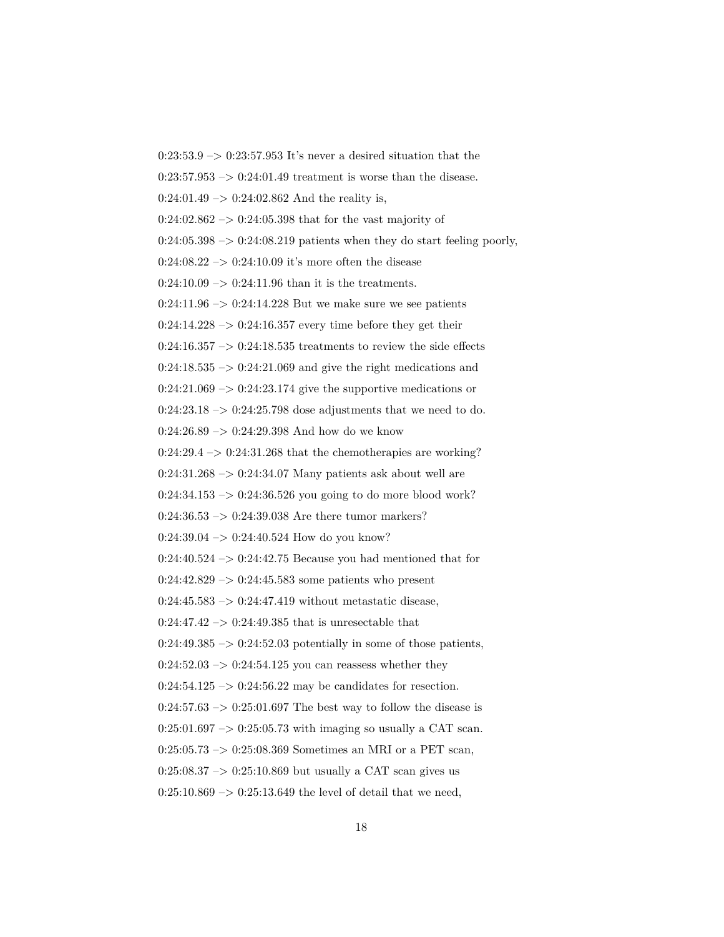$0:23:53.9 \rightarrow 0:23:57.953$  It's never a desired situation that the  $0:23:57.953 \rightarrow 0:24:01.49$  treatment is worse than the disease.  $0:24:01.49 \rightarrow 0:24:02.862$  And the reality is,  $0:24:02.862 \rightarrow 0:24:05.398$  that for the vast majority of  $0:24:05.398 \rightarrow 0:24:08.219$  patients when they do start feeling poorly,  $0:24:08.22 \rightarrow 0:24:10.09$  it's more often the disease  $0:24:10.09 \rightarrow 0:24:11.96$  than it is the treatments.  $0:24:11.96 \rightarrow 0:24:14.228$  But we make sure we see patients  $0:24:14.228 \rightarrow 0:24:16.357$  every time before they get their  $0:24:16.357 \rightarrow 0:24:18.535$  treatments to review the side effects  $0:24:18.535 \rightarrow 0:24:21.069$  and give the right medications and  $0:24:21.069 \rightarrow 0:24:23.174$  give the supportive medications or  $0:24:23.18 \rightarrow 0:24:25.798$  dose adjustments that we need to do. 0:24:26.89  $->$  0:24:29.398 And how do we know  $0:24:29.4 \rightarrow 0:24:31.268$  that the chemotherapies are working?  $0:24:31.268 \rightarrow 0:24:34.07$  Many patients ask about well are  $0:24:34.153 \rightarrow 0:24:36.526$  you going to do more blood work?  $0:24:36.53 \rightarrow 0:24:39.038$  Are there tumor markers?  $0:24:39.04 \rightarrow 0:24:40.524$  How do you know?  $0:24:40.524 \rightarrow 0:24:42.75$  Because you had mentioned that for  $0:24:42.829 \rightarrow 0:24:45.583$  some patients who present  $0:24:45.583 \rightarrow 0:24:47.419$  without metastatic disease,  $0:24:47.42 \rightarrow 0:24:49.385$  that is unresectable that  $0:24:49.385 \rightarrow 0:24:52.03$  potentially in some of those patients,  $0:24:52.03 \rightarrow 0:24:54.125$  you can reassess whether they  $0:24:54.125 \rightarrow 0:24:56.22$  may be candidates for resection.  $0:24:57.63 \rightarrow 0:25:01.697$  The best way to follow the disease is  $0:25:01.697 \rightarrow 0:25:05.73$  with imaging so usually a CAT scan.  $0:25:05.73 \rightarrow 0:25:08.369$  Sometimes an MRI or a PET scan,  $0:25:08.37 \rightarrow 0:25:10.869$  but usually a CAT scan gives us  $0:25:10.869 \rightarrow 0:25:13.649$  the level of detail that we need,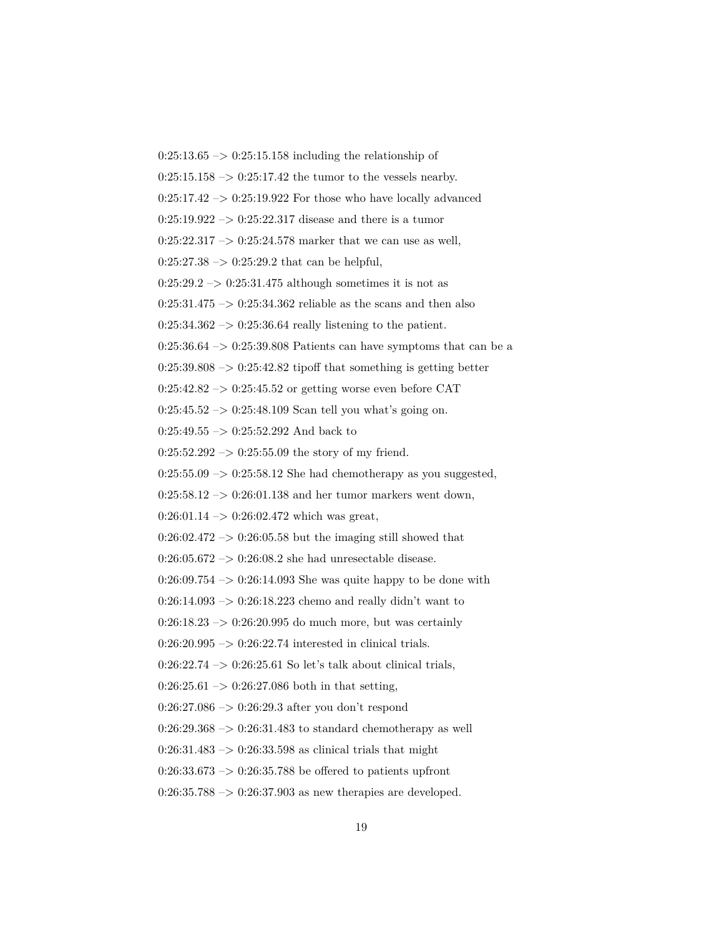$0:25:13.65 \rightarrow 0:25:15.158$  including the relationship of  $0:25:15.158 \rightarrow 0:25:17.42$  the tumor to the vessels nearby.  $0:25:17.42 \rightarrow 0:25:19.922$  For those who have locally advanced  $0:25:19.922 \rightarrow 0:25:22.317$  disease and there is a tumor  $0:25:22.317 \rightarrow 0:25:24.578$  marker that we can use as well,  $0:25:27.38 \rightarrow 0:25:29.2$  that can be helpful,  $0:25:29.2 \rightarrow 0:25:31.475$  although sometimes it is not as  $0:25:31.475 \rightarrow 0:25:34.362$  reliable as the scans and then also  $0:25:34.362 \rightarrow 0:25:36.64$  really listening to the patient.  $0:25:36.64 \rightarrow 0:25:39.808$  Patients can have symptoms that can be a  $0:25:39.808 \rightarrow 0:25:42.82$  tipoff that something is getting better 0:25:42.82 –> 0:25:45.52 or getting worse even before CAT  $0:25:45.52 \rightarrow 0:25:48.109$  Scan tell you what's going on.  $0:25:49.55 \rightarrow 0:25:52.292$  And back to  $0:25:52.292 \rightarrow 0:25:55.09$  the story of my friend.  $0:25:55.09 \rightarrow 0:25:58.12$  She had chemotherapy as you suggested,  $0:25:58.12 \rightarrow 0:26:01.138$  and her tumor markers went down,  $0:26:01.14 \rightarrow 0:26:02.472$  which was great,  $0:26:02.472 \rightarrow 0:26:05.58$  but the imaging still showed that 0:26:05.672 – $> 0.26:08.2$  she had unresectable disease.  $0:26:09.754 \rightarrow 0:26:14.093$  She was quite happy to be done with  $0:26:14.093 \rightarrow 0:26:18.223$  chemo and really didn't want to  $0:26:18.23 \rightarrow 0:26:20.995$  do much more, but was certainly  $0:26:20.995 \rightarrow 0:26:22.74$  interested in clinical trials.  $0:26:22.74 \rightarrow 0:26:25.61$  So let's talk about clinical trials,  $0:26:25.61 \rightarrow 0:26:27.086$  both in that setting,  $0:26:27.086 \rightarrow 0:26:29.3$  after you don't respond  $0:26:29.368 \rightarrow 0:26:31.483$  to standard chemotherapy as well  $0:26:31.483 \rightarrow 0:26:33.598$  as clinical trials that might  $0:26:33.673 \rightarrow 0:26:35.788$  be offered to patients upfront  $0:26:35.788 \rightarrow 0:26:37.903$  as new therapies are developed.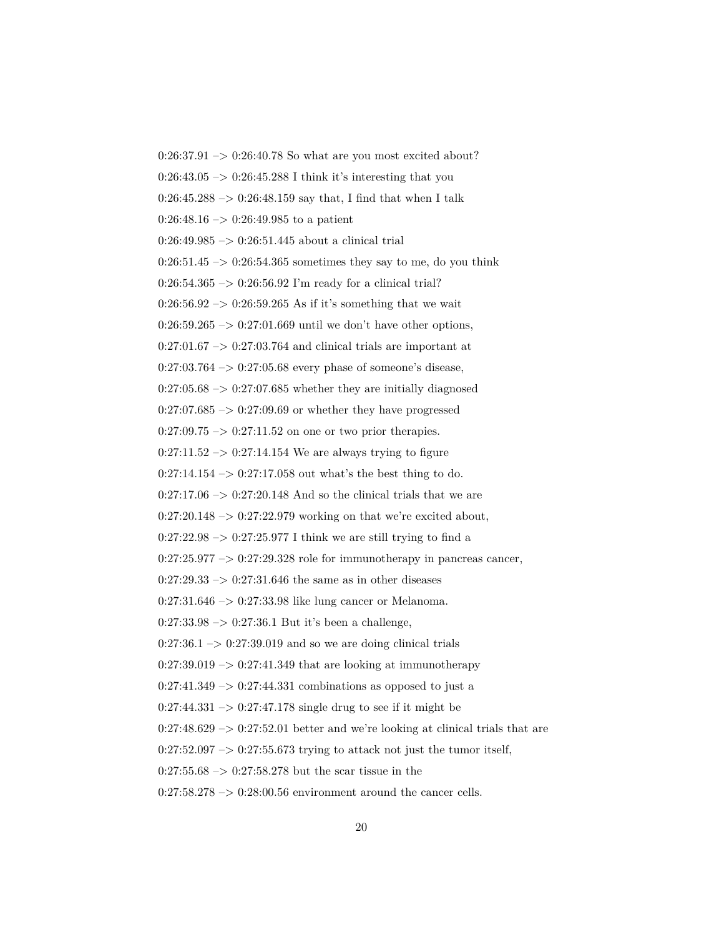$0:26:37.91 \rightarrow 0:26:40.78$  So what are you most excited about?  $0:26:43.05 \rightarrow 0:26:45.288$  I think it's interesting that you  $0:26:45.288 \rightarrow 0:26:48.159$  say that, I find that when I talk  $0:26:48.16 \rightarrow 0:26:49.985$  to a patient  $0:26:49.985 \rightarrow 0:26:51.445$  about a clinical trial  $0:26:51.45 \rightarrow 0:26:54.365$  sometimes they say to me, do you think  $0:26:54.365 \rightarrow 0:26:56.92$  I'm ready for a clinical trial?  $0:26:56.92 \rightarrow 0:26:59.265$  As if it's something that we wait  $0:26:59.265 \rightarrow 0:27:01.669$  until we don't have other options,  $0:27:01.67 \rightarrow 0:27:03.764$  and clinical trials are important at  $0:27:03.764 \rightarrow 0:27:05.68$  every phase of someone's disease,  $0:27:05.68 \rightarrow 0:27:07.685$  whether they are initially diagnosed  $0:27:07.685 \rightarrow 0:27:09.69$  or whether they have progressed  $0:27:09.75 \rightarrow 0:27:11.52$  on one or two prior therapies.  $0:27:11.52 \rightarrow 0:27:14.154$  We are always trying to figure  $0:27:14.154 \rightarrow 0:27:17.058$  out what's the best thing to do.  $0:27:17.06 \rightarrow 0:27:20.148$  And so the clinical trials that we are  $0:27:20.148 \rightarrow 0:27:22.979$  working on that we're excited about,  $0:27:22.98 \rightarrow 0:27:25.977$  I think we are still trying to find a  $0:27:25.977 \rightarrow 0:27:29.328$  role for immunotherapy in pancreas cancer,  $0:27:29.33 \rightarrow 0:27:31.646$  the same as in other diseases  $0:27:31.646 \rightarrow 0:27:33.98$  like lung cancer or Melanoma.  $0:27:33.98 \rightarrow 0:27:36.1$  But it's been a challenge,  $0:27:36.1 \rightarrow 0:27:39.019$  and so we are doing clinical trials  $0:27:39.019 \rightarrow 0:27:41.349$  that are looking at immunotherapy  $0:27:41.349 \rightarrow 0:27:44.331$  combinations as opposed to just a  $0:27:44.331 \rightarrow 0:27:47.178$  single drug to see if it might be  $0:27:48.629 \rightarrow 0:27:52.01$  better and we're looking at clinical trials that are  $0:27:52.097 \rightarrow 0:27:55.673$  trying to attack not just the tumor itself,  $0:27:55.68 \rightarrow 0:27:58.278$  but the scar tissue in the  $0:27:58.278 \rightarrow 0:28:00.56$  environment around the cancer cells.